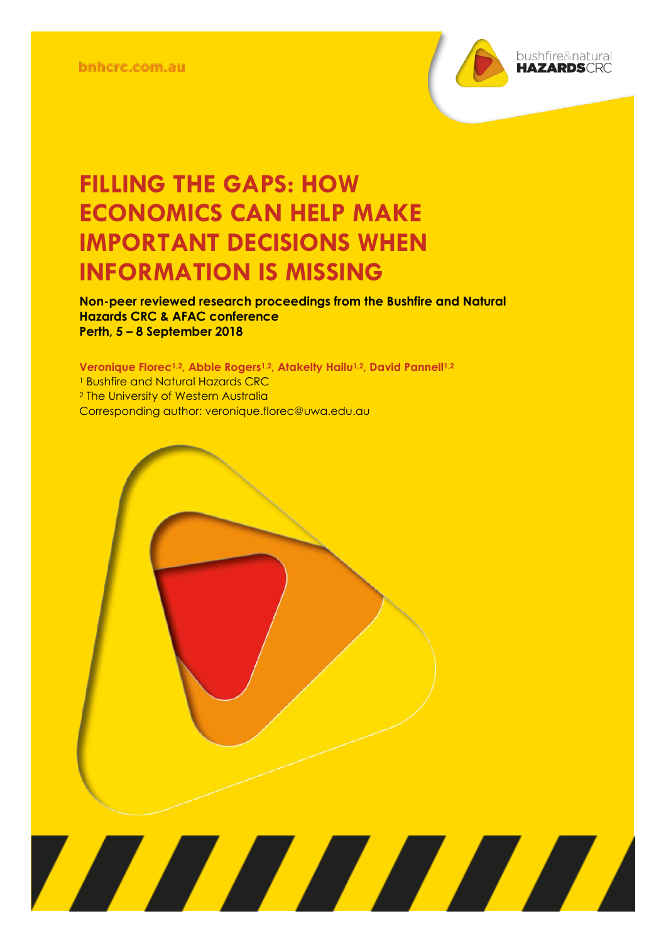

**Non-peer reviewed research proceedings from the Bushfire and Natural Hazards CRC & AFAC conference Perth, 5 – 8 September 2018**

**Veronique Florec1,2, Abbie Rogers1,2, Atakelty Hailu1,2, David Pannell1,2** <sup>1</sup> Bushfire and Natural Hazards CRC <sup>2</sup> The University of Western Australia Corresponding author: veronique.florec@uwa.edu.au

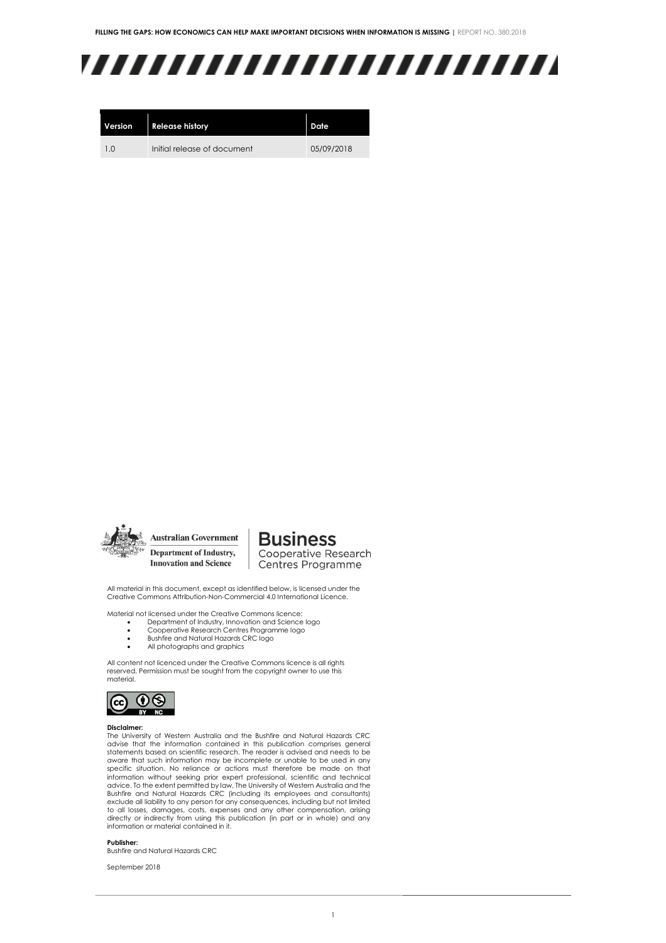## ,,,,,,,,,,,,,,,,,,,,,,,,,

| <b>Version</b> | <b>Release history</b>      | Date       |
|----------------|-----------------------------|------------|
| 1 <sub>0</sub> | Initial release of document | 05/09/2018 |



**Australian Government** Department of Industry, **Innovation and Science** 

**Business** Cooperative Research Centres Programme

All material in this document, except as identified below, is licensed under the Creative Commons Attribution-Non-Commercial 4.0 International Licence.

Material not licensed under the Creative Commons licence:

- Department of Industry, Innovation and Science logo Cooperative Research Centres Programme logo
- Bushfire and Natural Hazards CRC logo
- 
- All photographs and graphics

All content not licenced under the Creative Commons licence is all rights reserved. Permission must be sought from the copyright owner to use this material.



#### **Disclaimer:**

The University of Western Australia and the Bushfire and Natural Hazards CRC advise that the information contained in this publication comprises general statements based on scientific research. The reader is advised and needs to be aware that such information may be incomplete or unable to be used in any specific situation. No reliance or actions must therefore be made on that information without seeking prior expert professional, scientific and technical advice. To the extent permitted by law, The University of Western Australia and the Bushfire and Natural Hazards CRC (including its employees and consultants) exclude all liability to any person for any consequences, including but not limited to all losses, damages, costs, expenses and any other compensation, arising directly or indirectly from using this publication (in part or in whole) and any information or material contained in it.

#### **Publisher:**

Bushfire and Natural Hazards CRC

September 2018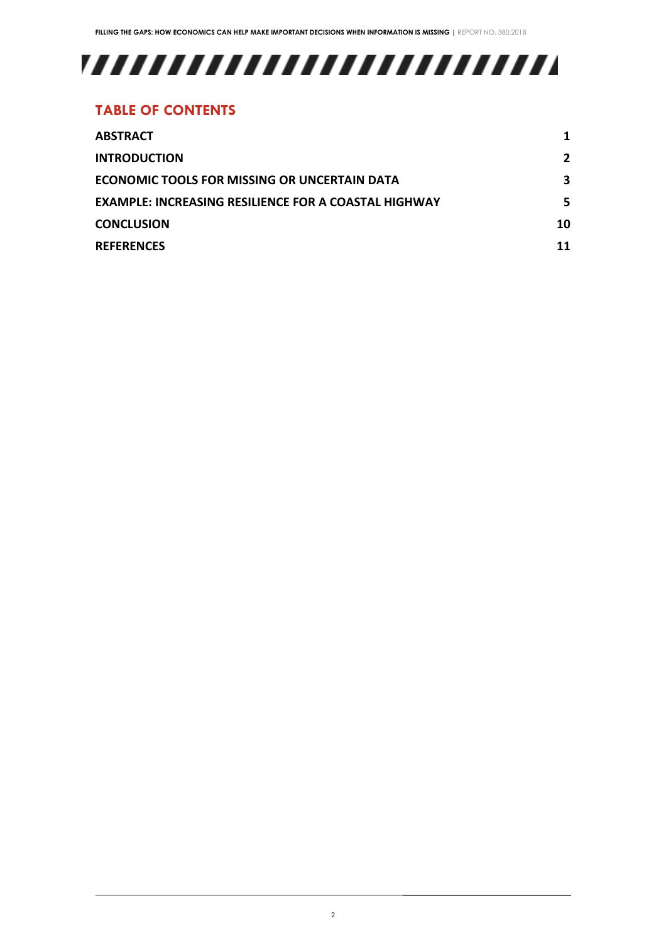# 

### **TABLE OF CONTENTS**

| <b>ABSTRACT</b>                                             |     |
|-------------------------------------------------------------|-----|
| <b>INTRODUCTION</b>                                         | 2   |
| <b>ECONOMIC TOOLS FOR MISSING OR UNCERTAIN DATA</b>         | 3   |
| <b>EXAMPLE: INCREASING RESILIENCE FOR A COASTAL HIGHWAY</b> | 5.  |
| <b>CONCLUSION</b>                                           | 10. |
| <b>REFERENCES</b>                                           |     |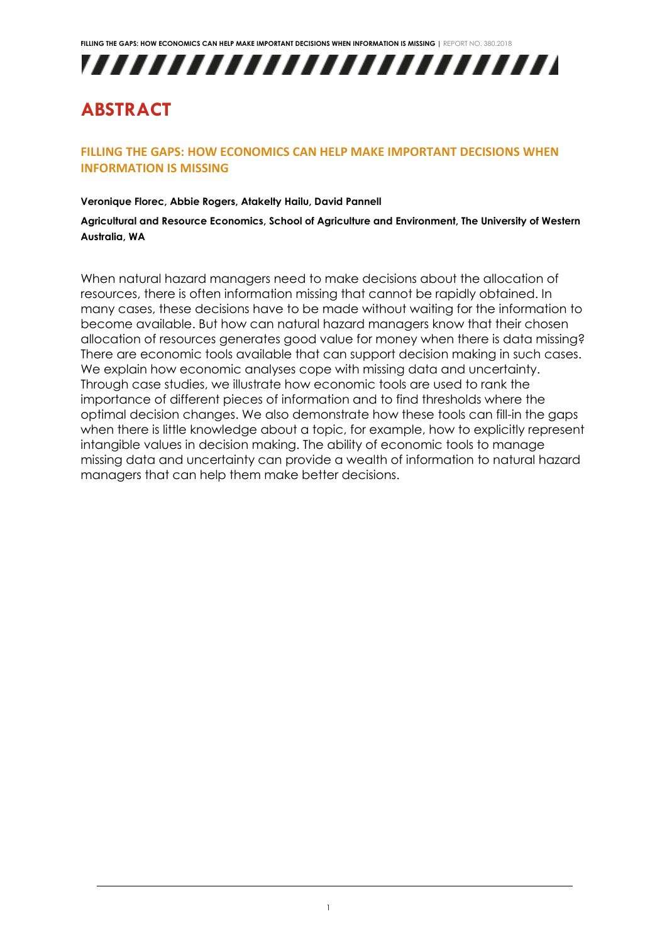

### <span id="page-3-0"></span>**ABSTRACT**

### **FILLING THE GAPS: HOW ECONOMICS CAN HELP MAKE IMPORTANT DECISIONS WHEN INFORMATION IS MISSING**

#### **Veronique Florec, Abbie Rogers, Atakelty Hailu, David Pannell**

**Agricultural and Resource Economics, School of Agriculture and Environment, The University of Western Australia, WA**

When natural hazard managers need to make decisions about the allocation of resources, there is often information missing that cannot be rapidly obtained. In many cases, these decisions have to be made without waiting for the information to become available. But how can natural hazard managers know that their chosen allocation of resources generates good value for money when there is data missing? There are economic tools available that can support decision making in such cases. We explain how economic analyses cope with missing data and uncertainty. Through case studies, we illustrate how economic tools are used to rank the importance of different pieces of information and to find thresholds where the optimal decision changes. We also demonstrate how these tools can fill-in the gaps when there is little knowledge about a topic, for example, how to explicitly represent intangible values in decision making. The ability of economic tools to manage missing data and uncertainty can provide a wealth of information to natural hazard managers that can help them make better decisions.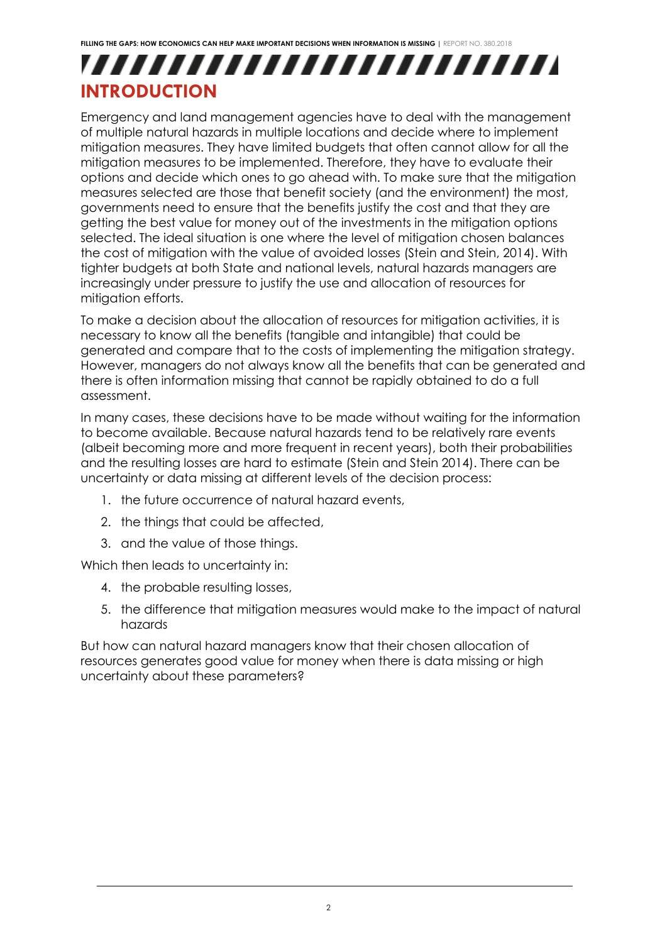## ,,,,,,,,,,,,,,,,,,,,,,,,, **INTRODUCTION**

<span id="page-4-0"></span>Emergency and land management agencies have to deal with the management of multiple natural hazards in multiple locations and decide where to implement mitigation measures. They have limited budgets that often cannot allow for all the mitigation measures to be implemented. Therefore, they have to evaluate their options and decide which ones to go ahead with. To make sure that the mitigation measures selected are those that benefit society (and the environment) the most, governments need to ensure that the benefits justify the cost and that they are getting the best value for money out of the investments in the mitigation options selected. The ideal situation is one where the level of mitigation chosen balances the cost of mitigation with the value of avoided losses (Stein and Stein, 2014). With tighter budgets at both State and national levels, natural hazards managers are increasingly under pressure to justify the use and allocation of resources for mitigation efforts.

To make a decision about the allocation of resources for mitigation activities, it is necessary to know all the benefits (tangible and intangible) that could be generated and compare that to the costs of implementing the mitigation strategy. However, managers do not always know all the benefits that can be generated and there is often information missing that cannot be rapidly obtained to do a full assessment.

In many cases, these decisions have to be made without waiting for the information to become available. Because natural hazards tend to be relatively rare events (albeit becoming more and more frequent in recent years), both their probabilities and the resulting losses are hard to estimate (Stein and Stein 2014). There can be uncertainty or data missing at different levels of the decision process:

- 1. the future occurrence of natural hazard events,
- 2. the things that could be affected,
- 3. and the value of those things.

Which then leads to uncertainty in:

- 4. the probable resulting losses,
- 5. the difference that mitigation measures would make to the impact of natural hazards

But how can natural hazard managers know that their chosen allocation of resources generates good value for money when there is data missing or high uncertainty about these parameters?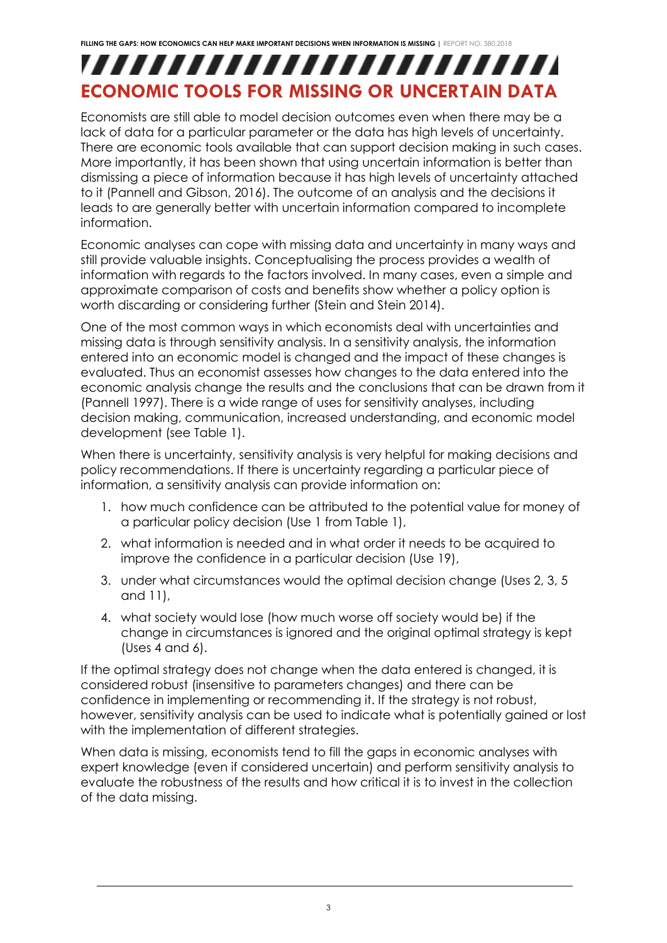## <span id="page-5-0"></span>,,,,,,,,,,,,,,,,,,,,,,,,,, **ECONOMIC TOOLS FOR MISSING OR UNCERTAIN DATA**

Economists are still able to model decision outcomes even when there may be a lack of data for a particular parameter or the data has high levels of uncertainty. There are economic tools available that can support decision making in such cases. More importantly, it has been shown that using uncertain information is better than dismissing a piece of information because it has high levels of uncertainty attached to it (Pannell and Gibson, 2016). The outcome of an analysis and the decisions it leads to are generally better with uncertain information compared to incomplete information.

Economic analyses can cope with missing data and uncertainty in many ways and still provide valuable insights. Conceptualising the process provides a wealth of information with regards to the factors involved. In many cases, even a simple and approximate comparison of costs and benefits show whether a policy option is worth discarding or considering further (Stein and Stein 2014).

One of the most common ways in which economists deal with uncertainties and missing data is through sensitivity analysis. In a sensitivity analysis, the information entered into an economic model is changed and the impact of these changes is evaluated. Thus an economist assesses how changes to the data entered into the economic analysis change the results and the conclusions that can be drawn from it (Pannell 1997). There is a wide range of uses for sensitivity analyses, including decision making, communication, increased understanding, and economic model development (see [Table 1\)](#page-6-0).

When there is uncertainty, sensitivity analysis is very helpful for making decisions and policy recommendations. If there is uncertainty regarding a particular piece of information, a sensitivity analysis can provide information on:

- 1. how much confidence can be attributed to the potential value for money of a particular policy decision (Use 1 from Table 1),
- 2. what information is needed and in what order it needs to be acquired to improve the confidence in a particular decision (Use 19),
- 3. under what circumstances would the optimal decision change (Uses 2, 3, 5 and 11),
- 4. what society would lose (how much worse off society would be) if the change in circumstances is ignored and the original optimal strategy is kept (Uses 4 and 6).

If the optimal strategy does not change when the data entered is changed, it is considered robust (insensitive to parameters changes) and there can be confidence in implementing or recommending it. If the strategy is not robust, however, sensitivity analysis can be used to indicate what is potentially gained or lost with the implementation of different strategies.

When data is missing, economists tend to fill the gaps in economic analyses with expert knowledge (even if considered uncertain) and perform sensitivity analysis to evaluate the robustness of the results and how critical it is to invest in the collection of the data missing.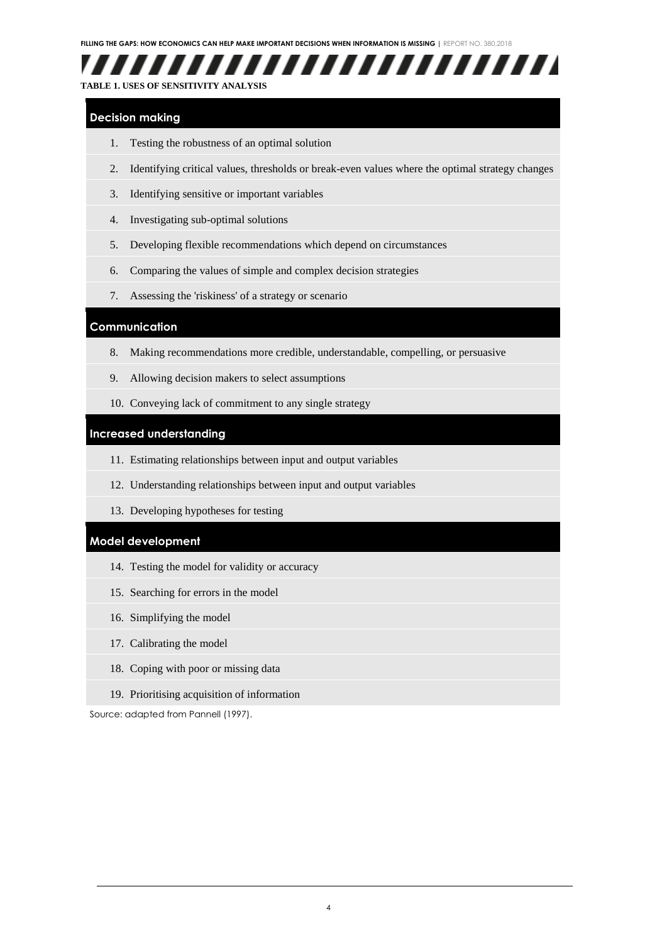

#### <span id="page-6-0"></span>**TABLE 1. USES OF SENSITIVITY ANALYSIS**

#### **Decision making**

- 1. Testing the robustness of an optimal solution
- 2. Identifying critical values, thresholds or break-even values where the optimal strategy changes
- 3. Identifying sensitive or important variables
- 4. Investigating sub-optimal solutions
- 5. Developing flexible recommendations which depend on circumstances
- 6. Comparing the values of simple and complex decision strategies
- 7. Assessing the 'riskiness' of a strategy or scenario

#### **Communication**

- 8. Making recommendations more credible, understandable, compelling, or persuasive
- 9. Allowing decision makers to select assumptions
- 10. Conveying lack of commitment to any single strategy

#### **Increased understanding**

- 11. Estimating relationships between input and output variables
- 12. Understanding relationships between input and output variables
- 13. Developing hypotheses for testing

#### **Model development**

- 14. Testing the model for validity or accuracy
- 15. Searching for errors in the model
- 16. Simplifying the model
- 17. Calibrating the model
- 18. Coping with poor or missing data
- 19. Prioritising acquisition of information

Source: adapted from Pannell (1997).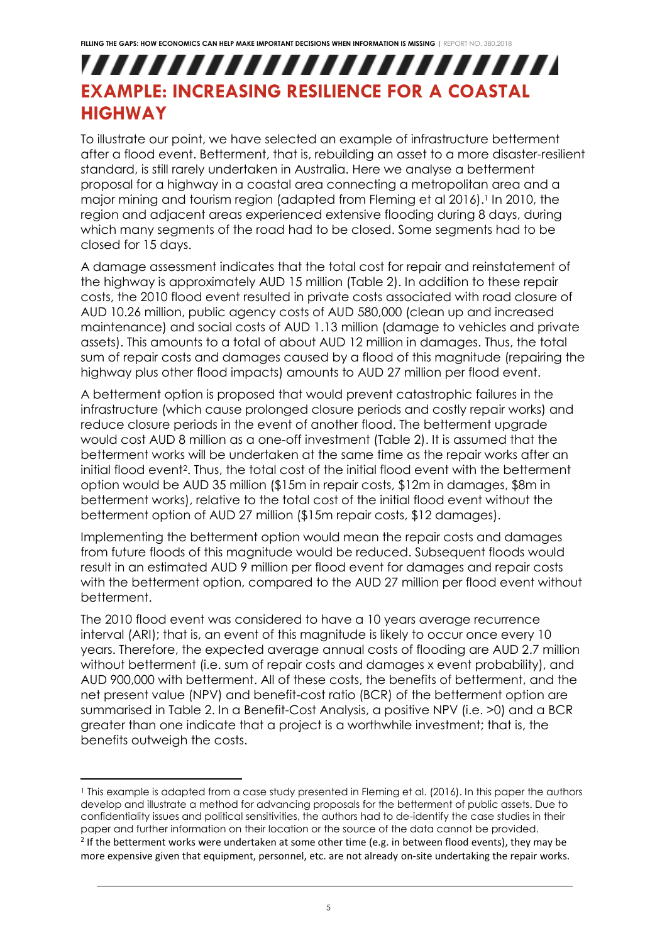## <span id="page-7-0"></span>,,,,,,,,,,,,,,,,,,,,,,,,, **EXAMPLE: INCREASING RESILIENCE FOR A COASTAL HIGHWAY**

To illustrate our point, we have selected an example of infrastructure betterment after a flood event. Betterment, that is, rebuilding an asset to a more disaster-resilient standard, is still rarely undertaken in Australia. Here we analyse a betterment proposal for a highway in a coastal area connecting a metropolitan area and a major mining and tourism region (adapted from Fleming et al 2016). 1 In 2010, the region and adjacent areas experienced extensive flooding during 8 days, during which many segments of the road had to be closed. Some segments had to be closed for 15 days.

A damage assessment indicates that the total cost for repair and reinstatement of the highway is approximately AUD 15 million [\(Table 2\)](#page-8-0). In addition to these repair costs, the 2010 flood event resulted in private costs associated with road closure of AUD 10.26 million, public agency costs of AUD 580,000 (clean up and increased maintenance) and social costs of AUD 1.13 million (damage to vehicles and private assets). This amounts to a total of about AUD 12 million in damages. Thus, the total sum of repair costs and damages caused by a flood of this magnitude (repairing the highway plus other flood impacts) amounts to AUD 27 million per flood event.

A betterment option is proposed that would prevent catastrophic failures in the infrastructure (which cause prolonged closure periods and costly repair works) and reduce closure periods in the event of another flood. The betterment upgrade would cost AUD 8 million as a one-off investment (Table 2). It is assumed that the betterment works will be undertaken at the same time as the repair works after an initial flood event<sup>2</sup>. Thus, the total cost of the initial flood event with the betterment option would be AUD 35 million (\$15m in repair costs, \$12m in damages, \$8m in betterment works), relative to the total cost of the initial flood event without the betterment option of AUD 27 million (\$15m repair costs, \$12 damages).

Implementing the betterment option would mean the repair costs and damages from future floods of this magnitude would be reduced. Subsequent floods would result in an estimated AUD 9 million per flood event for damages and repair costs with the betterment option, compared to the AUD 27 million per flood event without betterment.

The 2010 flood event was considered to have a 10 years average recurrence interval (ARI); that is, an event of this magnitude is likely to occur once every 10 years. Therefore, the expected average annual costs of flooding are AUD 2.7 million without betterment (i.e. sum of repair costs and damages x event probability), and AUD 900,000 with betterment. All of these costs, the benefits of betterment, and the net present value (NPV) and benefit-cost ratio (BCR) of the betterment option are summarised in [Table 2.](#page-8-0) In a Benefit-Cost Analysis, a positive NPV (i.e. >0) and a BCR greater than one indicate that a project is a worthwhile investment; that is, the benefits outweigh the costs.

<sup>-</sup><sup>1</sup> This example is adapted from a case study presented in Fleming et al. (2016). In this paper the authors develop and illustrate a method for advancing proposals for the betterment of public assets. Due to confidentiality issues and political sensitivities, the authors had to de-identify the case studies in their paper and further information on their location or the source of the data cannot be provided. <sup>2</sup> If the betterment works were undertaken at some other time (e.g. in between flood events), they may be more expensive given that equipment, personnel, etc. are not already on-site undertaking the repair works.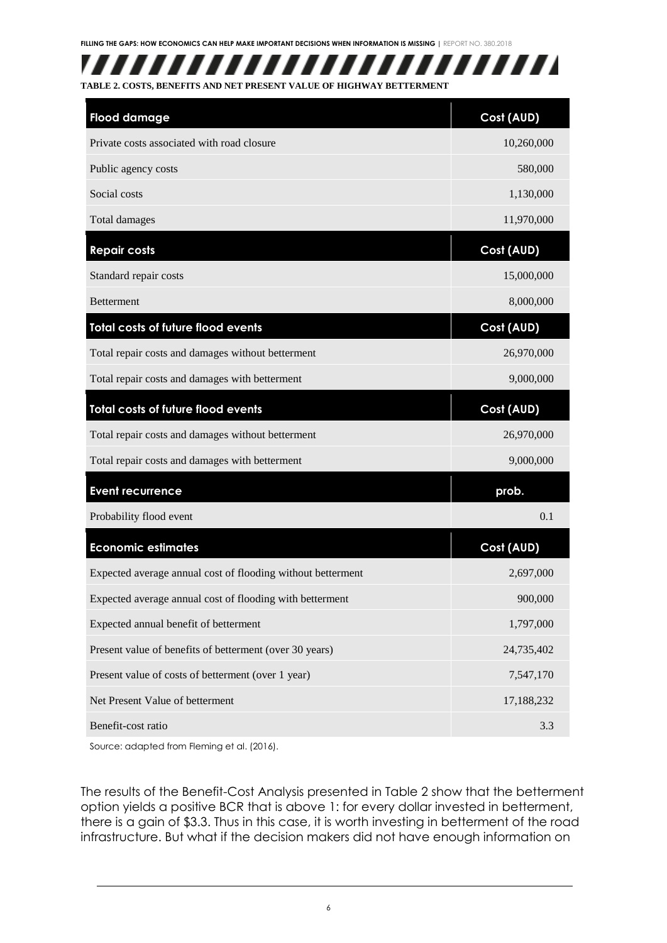

<span id="page-8-0"></span>

| <b>Flood damage</b>                                         | Cost (AUD) |
|-------------------------------------------------------------|------------|
| Private costs associated with road closure                  | 10,260,000 |
| Public agency costs                                         | 580,000    |
| Social costs                                                | 1,130,000  |
| Total damages                                               | 11,970,000 |
| <b>Repair costs</b>                                         | Cost (AUD) |
| Standard repair costs                                       | 15,000,000 |
| <b>Betterment</b>                                           | 8,000,000  |
| Total costs of future flood events                          | Cost (AUD) |
| Total repair costs and damages without betterment           | 26,970,000 |
| Total repair costs and damages with betterment              | 9,000,000  |
| Total costs of future flood events                          | Cost (AUD) |
| Total repair costs and damages without betterment           | 26,970,000 |
| Total repair costs and damages with betterment              | 9,000,000  |
| <b>Event recurrence</b>                                     | prob.      |
| Probability flood event                                     | 0.1        |
| <b>Economic estimates</b>                                   | Cost (AUD) |
| Expected average annual cost of flooding without betterment | 2,697,000  |
| Expected average annual cost of flooding with betterment    | 900,000    |
| Expected annual benefit of betterment                       | 1,797,000  |
| Present value of benefits of betterment (over 30 years)     | 24,735,402 |
| Present value of costs of betterment (over 1 year)          | 7,547,170  |
| Net Present Value of betterment                             | 17,188,232 |
| Benefit-cost ratio                                          | 3.3        |

Source: adapted from Fleming et al. (2016).

The results of the Benefit-Cost Analysis presented in [Table 2](#page-8-0) show that the betterment option yields a positive BCR that is above 1: for every dollar invested in betterment, there is a gain of \$3.3. Thus in this case, it is worth investing in betterment of the road infrastructure. But what if the decision makers did not have enough information on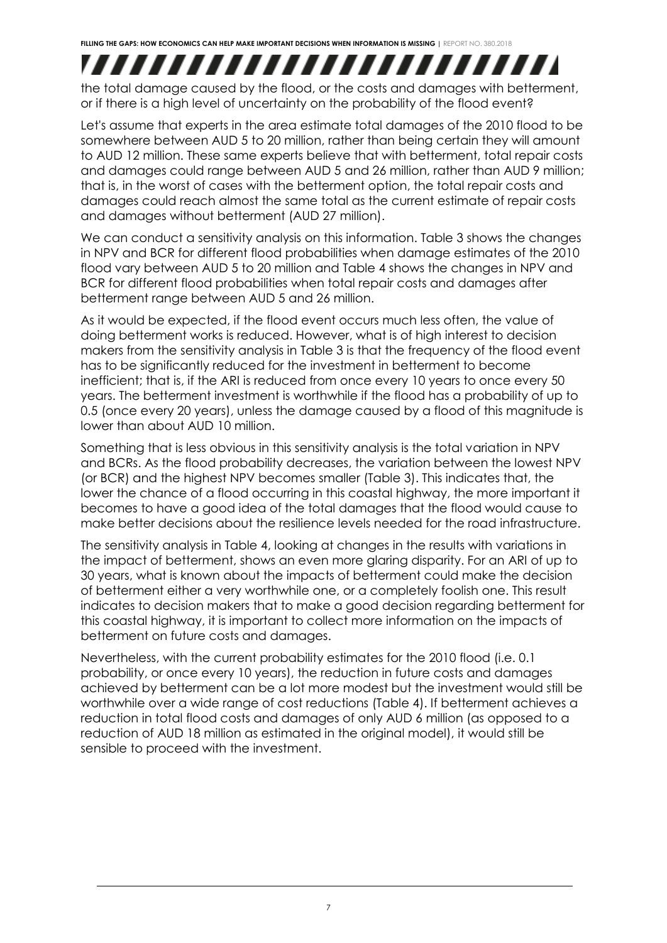### ,,,,,,,,,,,,,,,,,,,,,,,,,, the total damage caused by the flood, or the costs and damages with betterment, or if there is a high level of uncertainty on the probability of the flood event?

Let's assume that experts in the area estimate total damages of the 2010 flood to be somewhere between AUD 5 to 20 million, rather than being certain they will amount to AUD 12 million. These same experts believe that with betterment, total repair costs and damages could range between AUD 5 and 26 million, rather than AUD 9 million; that is, in the worst of cases with the betterment option, the total repair costs and damages could reach almost the same total as the current estimate of repair costs and damages without betterment (AUD 27 million).

We can conduct a sensitivity analysis on this information. [Table 3](#page-10-0) shows the changes in NPV and BCR for different flood probabilities when damage estimates of the 2010 flood vary between AUD 5 to 20 million and [Table 4](#page-11-0) shows the changes in NPV and BCR for different flood probabilities when total repair costs and damages after betterment range between AUD 5 and 26 million.

As it would be expected, if the flood event occurs much less often, the value of doing betterment works is reduced. However, what is of high interest to decision makers from the sensitivity analysis in [Table 3](#page-10-0) is that the frequency of the flood event has to be significantly reduced for the investment in betterment to become inefficient; that is, if the ARI is reduced from once every 10 years to once every 50 years. The betterment investment is worthwhile if the flood has a probability of up to 0.5 (once every 20 years), unless the damage caused by a flood of this magnitude is lower than about AUD 10 million.

Something that is less obvious in this sensitivity analysis is the total variation in NPV and BCRs. As the flood probability decreases, the variation between the lowest NPV (or BCR) and the highest NPV becomes smaller [\(Table 3\)](#page-10-0). This indicates that, the lower the chance of a flood occurring in this coastal highway, the more important it becomes to have a good idea of the total damages that the flood would cause to make better decisions about the resilience levels needed for the road infrastructure.

The sensitivity analysis in [Table 4,](#page-11-0) looking at changes in the results with variations in the impact of betterment, shows an even more glaring disparity. For an ARI of up to 30 years, what is known about the impacts of betterment could make the decision of betterment either a very worthwhile one, or a completely foolish one. This result indicates to decision makers that to make a good decision regarding betterment for this coastal highway, it is important to collect more information on the impacts of betterment on future costs and damages.

Nevertheless, with the current probability estimates for the 2010 flood (i.e. 0.1 probability, or once every 10 years), the reduction in future costs and damages achieved by betterment can be a lot more modest but the investment would still be worthwhile over a wide range of cost reductions [\(Table 4\)](#page-11-0). If betterment achieves a reduction in total flood costs and damages of only AUD 6 million (as opposed to a reduction of AUD 18 million as estimated in the original model), it would still be sensible to proceed with the investment.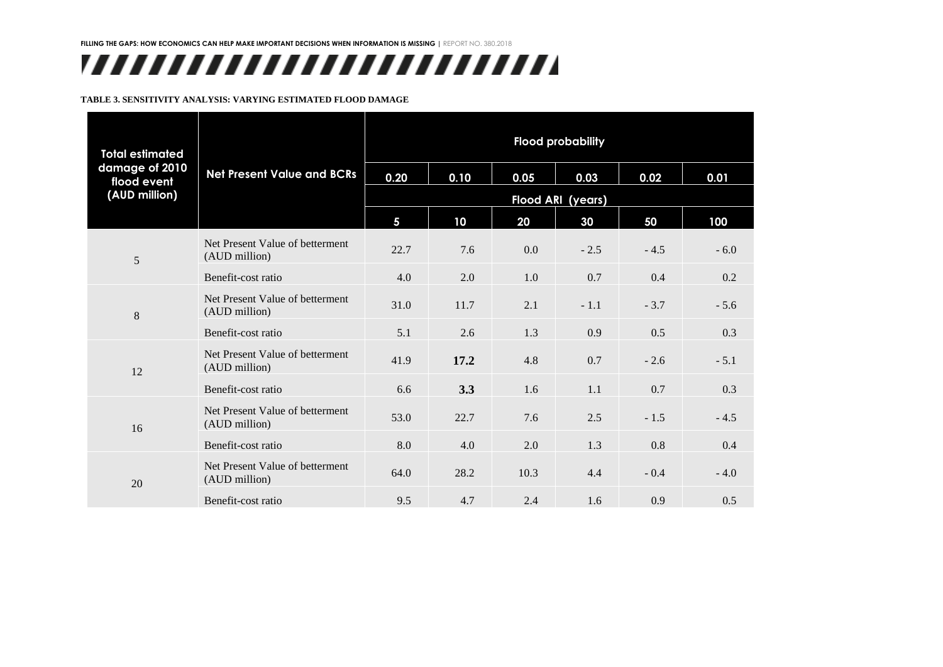# ,,,,,,,,,,,,,,,,,,,,,,,,,

#### **TABLE 3. SENSITIVITY ANALYSIS: VARYING ESTIMATED FLOOD DAMAGE**

<span id="page-10-0"></span>

| <b>Total estimated</b><br>damage of 2010<br>flood event<br>(AUD million) |                                                  | <b>Flood probability</b> |      |      |        |        |        |
|--------------------------------------------------------------------------|--------------------------------------------------|--------------------------|------|------|--------|--------|--------|
|                                                                          | <b>Net Present Value and BCRs</b>                | 0.20                     | 0.10 | 0.05 | 0.03   | 0.02   | 0.01   |
|                                                                          |                                                  | <b>Flood ARI (years)</b> |      |      |        |        |        |
|                                                                          |                                                  | $5\phantom{a}$           | 10   | 20   | 30     | 50     | 100    |
| 5                                                                        | Net Present Value of betterment<br>(AUD million) | 22.7                     | 7.6  | 0.0  | $-2.5$ | $-4.5$ | $-6.0$ |
|                                                                          | Benefit-cost ratio                               | 4.0                      | 2.0  | 1.0  | 0.7    | 0.4    | 0.2    |
| 8                                                                        | Net Present Value of betterment<br>(AUD million) | 31.0                     | 11.7 | 2.1  | $-1.1$ | $-3.7$ | $-5.6$ |
|                                                                          | Benefit-cost ratio                               | 5.1                      | 2.6  | 1.3  | 0.9    | 0.5    | 0.3    |
| 12                                                                       | Net Present Value of betterment<br>(AUD million) | 41.9                     | 17.2 | 4.8  | 0.7    | $-2.6$ | $-5.1$ |
|                                                                          | Benefit-cost ratio                               | 6.6                      | 3.3  | 1.6  | 1.1    | 0.7    | 0.3    |
| 16                                                                       | Net Present Value of betterment<br>(AUD million) | 53.0                     | 22.7 | 7.6  | 2.5    | $-1.5$ | $-4.5$ |
|                                                                          | Benefit-cost ratio                               | 8.0                      | 4.0  | 2.0  | 1.3    | 0.8    | 0.4    |
| 20                                                                       | Net Present Value of betterment<br>(AUD million) | 64.0                     | 28.2 | 10.3 | 4.4    | $-0.4$ | $-4.0$ |
|                                                                          | Benefit-cost ratio                               | 9.5                      | 4.7  | 2.4  | 1.6    | 0.9    | 0.5    |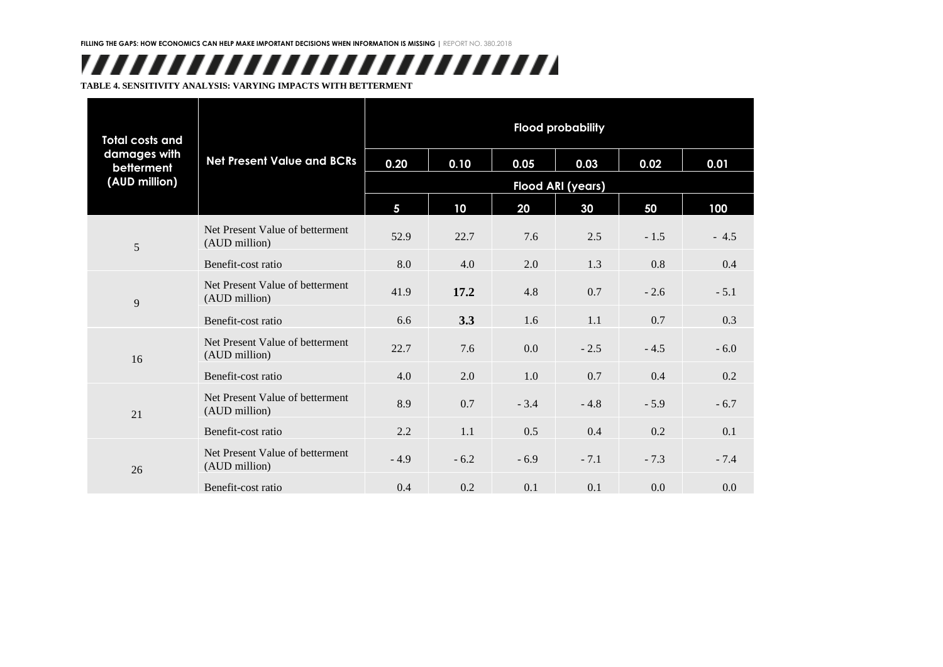# ,,,,,,,,,,,,,,,,,,,,,,,,,

**TABLE 4. SENSITIVITY ANALYSIS: VARYING IMPACTS WITH BETTERMENT**

<span id="page-11-0"></span>

| <b>Total costs and</b><br>damages with<br>betterment<br>(AUD million) |                                                  | <b>Flood probability</b> |        |        |        |        |        |
|-----------------------------------------------------------------------|--------------------------------------------------|--------------------------|--------|--------|--------|--------|--------|
|                                                                       | <b>Net Present Value and BCRs</b>                | 0.20                     | 0.10   | 0.05   | 0.03   | 0.02   | 0.01   |
|                                                                       |                                                  | Flood ARI (years)        |        |        |        |        |        |
|                                                                       |                                                  | $\overline{\mathbf{5}}$  | 10     | 20     | 30     | 50     | 100    |
| $\overline{5}$                                                        | Net Present Value of betterment<br>(AUD million) | 52.9                     | 22.7   | 7.6    | 2.5    | $-1.5$ | $-4.5$ |
|                                                                       | Benefit-cost ratio                               | 8.0                      | 4.0    | 2.0    | 1.3    | 0.8    | 0.4    |
| 9                                                                     | Net Present Value of betterment<br>(AUD million) | 41.9                     | 17.2   | 4.8    | 0.7    | $-2.6$ | $-5.1$ |
|                                                                       | Benefit-cost ratio                               | 6.6                      | 3.3    | 1.6    | 1.1    | 0.7    | 0.3    |
| 16                                                                    | Net Present Value of betterment<br>(AUD million) | 22.7                     | 7.6    | 0.0    | $-2.5$ | $-4.5$ | $-6.0$ |
|                                                                       | Benefit-cost ratio                               | 4.0                      | 2.0    | 1.0    | 0.7    | 0.4    | 0.2    |
| 21                                                                    | Net Present Value of betterment<br>(AUD million) | 8.9                      | 0.7    | $-3.4$ | $-4.8$ | $-5.9$ | $-6.7$ |
|                                                                       | Benefit-cost ratio                               | 2.2                      | 1.1    | 0.5    | 0.4    | 0.2    | 0.1    |
| 26                                                                    | Net Present Value of betterment<br>(AUD million) | $-4.9$                   | $-6.2$ | $-6.9$ | $-7.1$ | $-7.3$ | $-7.4$ |
|                                                                       | Benefit-cost ratio                               | 0.4                      | 0.2    | 0.1    | 0.1    | 0.0    | 0.0    |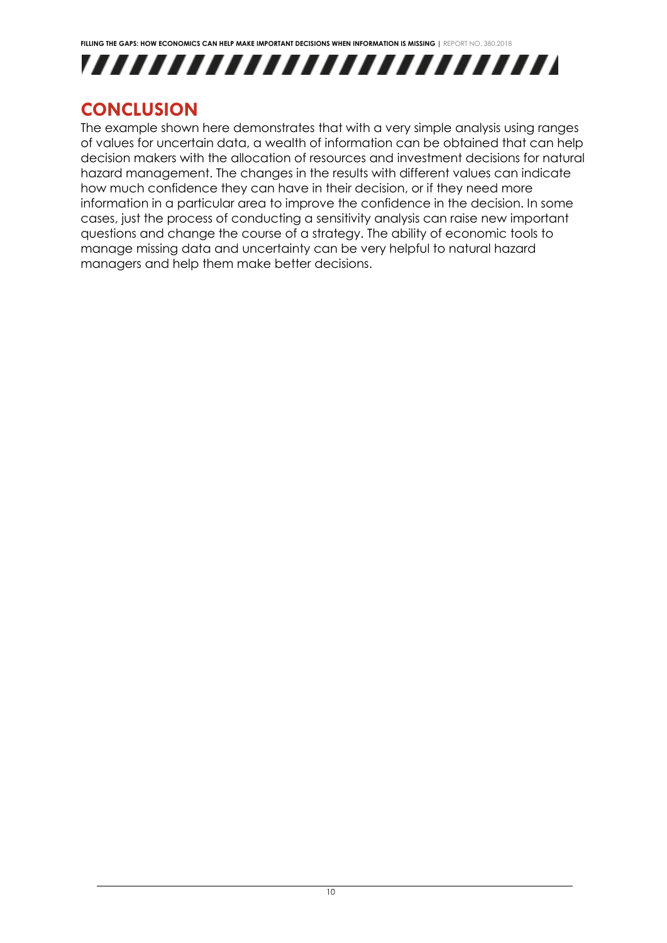



### <span id="page-12-0"></span>**CONCLUSION**

The example shown here demonstrates that with a very simple analysis using ranges of values for uncertain data, a wealth of information can be obtained that can help decision makers with the allocation of resources and investment decisions for natural hazard management. The changes in the results with different values can indicate how much confidence they can have in their decision, or if they need more information in a particular area to improve the confidence in the decision. In some cases, just the process of conducting a sensitivity analysis can raise new important questions and change the course of a strategy. The ability of economic tools to manage missing data and uncertainty can be very helpful to natural hazard managers and help them make better decisions.